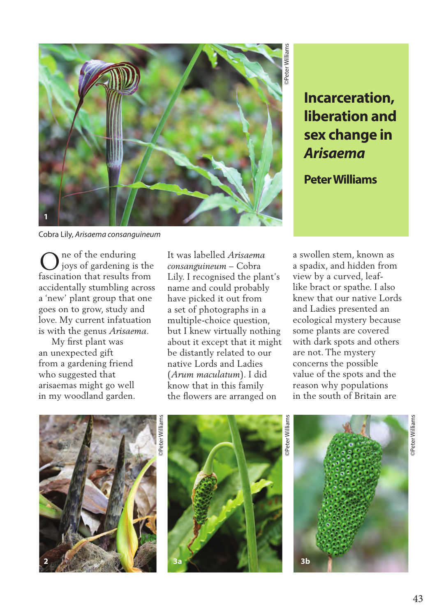

Cobra Lily, *Arisaema consanguineum*

ne of the enduring joys of gardening is the **C** is not the enduring<br>fascination that results from accidentally stumbling across a 'new' plant group that one goes on to grow, study and love. My current infatuation is with the genus *Arisaema*.

 My first plant was an unexpected gift from a gardening friend who suggested that arisaemas might go well in my woodland garden. It was labelled *Arisaema consanguineum* – Cobra Lily. I recognised the plant's name and could probably have picked it out from a set of photographs in a multiple-choice question, but I knew virtually nothing about it except that it might be distantly related to our native Lords and Ladies (*Arum maculatum*). I did know that in this family the flowers are arranged on

**Incarceration, liberation and sex change in**  *Arisaema*

**Peter Williams**

a swollen stem, known as a spadix, and hidden from view by a curved, leaflike bract or spathe. I also knew that our native Lords and Ladies presented an ecological mystery because some plants are covered with dark spots and others are not. The mystery concerns the possible value of the spots and the reason why populations in the south of Britain are





©Peter Williams Peter Williams

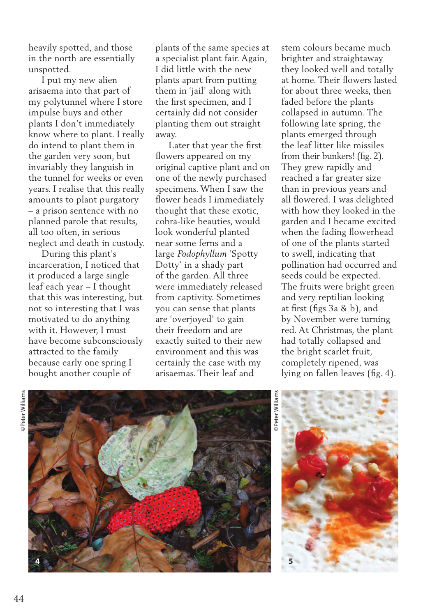heavily spotted, and those in the north are essentially unspotted.

 I put my new alien arisaema into that part of my polytunnel where I store impulse buys and other plants I don't immediately know where to plant. I really do intend to plant them in the garden very soon, but invariably they languish in the tunnel for weeks or even years. I realise that this really amounts to plant purgatory – a prison sentence with no planned parole that results, all too often, in serious neglect and death in custody.

 During this plant's incarceration, I noticed that it produced a large single leaf each year – I thought that this was interesting, but not so interesting that I was motivated to do anything with it. However, I must have become subconsciously attracted to the family because early one spring I bought another couple of

plants of the same species at a specialist plant fair. Again, I did little with the new plants apart from putting them in 'jail' along with the first specimen, and I certainly did not consider planting them out straight away.

 Later that year the first flowers appeared on my original captive plant and on one of the newly purchased specimens. When I saw the flower heads I immediately thought that these exotic, cobra-like beauties, would look wonderful planted near some ferns and a large *Podophyllum* 'Spotty Dotty' in a shady part of the garden. All three were immediately released from captivity. Sometimes you can sense that plants are 'overjoyed' to gain their freedom and are exactly suited to their new environment and this was certainly the case with my arisaemas. Their leaf and

stem colours became much brighter and straightaway they looked well and totally at home. Their flowers lasted for about three weeks, then faded before the plants collapsed in autumn. The following late spring, the plants emerged through the leaf litter like missiles from their bunkers! (fig. 2). They grew rapidly and reached a far greater size than in previous years and all flowered. I was delighted with how they looked in the garden and I became excited when the fading flowerhead of one of the plants started to swell, indicating that pollination had occurred and seeds could be expected. The fruits were bright green and very reptilian looking at first (figs 3a & b), and by November were turning red. At Christmas, the plant had totally collapsed and the bright scarlet fruit, completely ripened, was lying on fallen leaves (fig. 4).





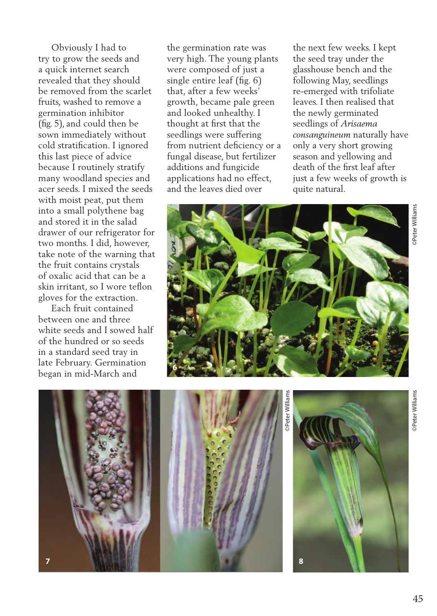Obviously I had to try to grow the seeds and a quick internet search revealed that they should be removed from the scarlet fruits, washed to remove a germination inhibitor (fig. 5), and could then be sown immediately without cold stratification. I ignored this last piece of advice because I routinely stratify many woodland species and acer seeds. I mixed the seeds with moist peat, put them into a small polythene bag and stored it in the salad drawer of our refrigerator for two months. I did, however, take note of the warning that the fruit contains crystals of oxalic acid that can be a skin irritant, so I wore teflon gloves for the extraction.

 Each fruit contained between one and three white seeds and I sowed half of the hundred or so seeds in a standard seed tray in late February. Germination began in mid-March and

the germination rate was very high. The young plants were composed of just a single entire leaf (fig. 6) that, after a few weeks' growth, became pale green and looked unhealthy. I thought at first that the seedlings were suffering from nutrient deficiency or a fungal disease, but fertilizer additions and fungicide applications had no effect, and the leaves died over

the next few weeks. I kept the seed tray under the glasshouse bench and the following May, seedlings re-emerged with trifoliate leaves. I then realised that the newly germinated seedlings of *Arisaema consanguineum* naturally have only a very short growing season and yellowing and death of the first leaf after just a few weeks of growth is quite natural.





©Peter Williams Peter Williams



**Peter Williams**